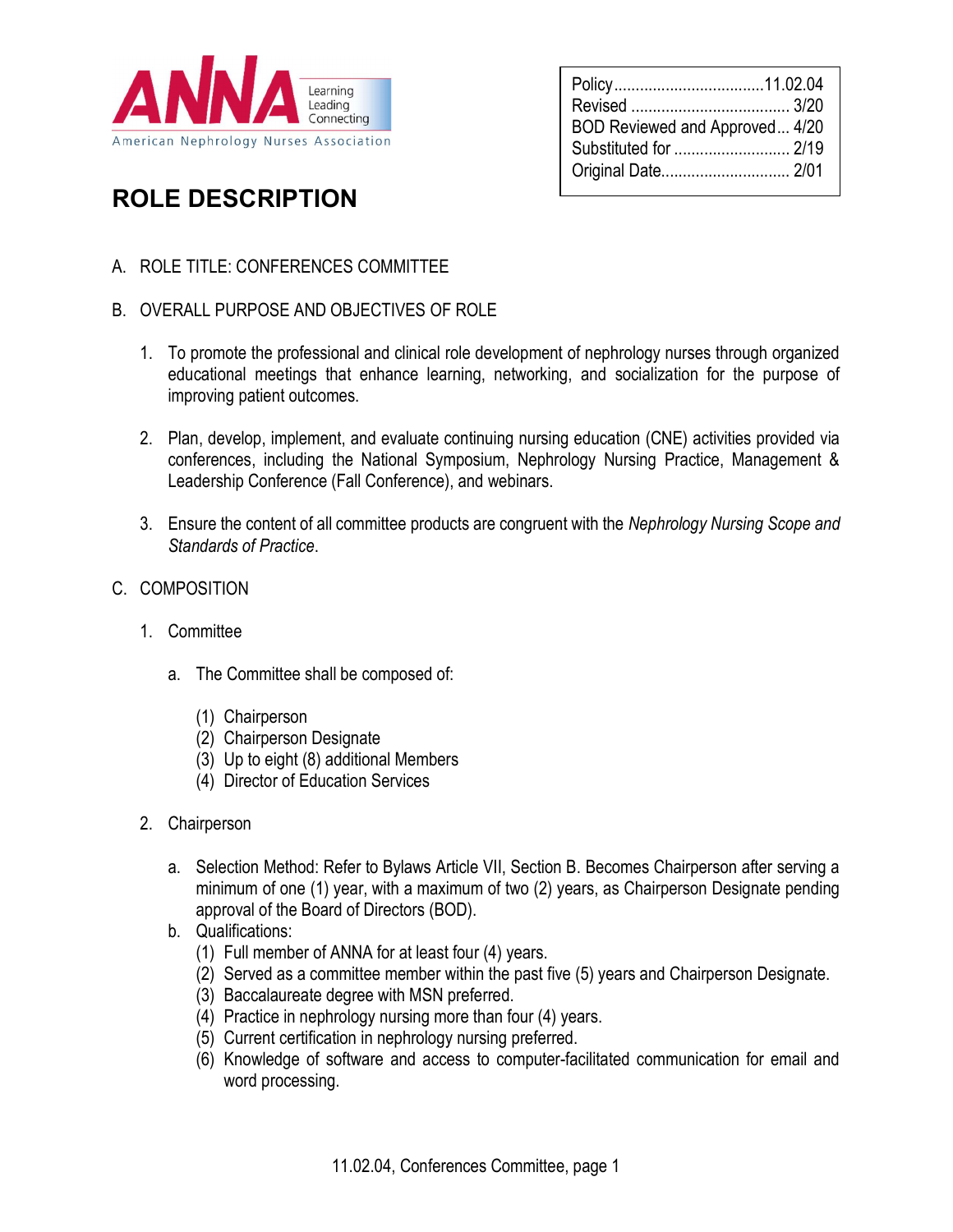

| BOD Reviewed and Approved 4/20<br>Substituted for  2/19<br>Original Date 2/01 |  |
|-------------------------------------------------------------------------------|--|
|-------------------------------------------------------------------------------|--|

## ROLE DESCRIPTION

- A. ROLE TITLE: CONFERENCES COMMITTEE
- B. OVERALL PURPOSE AND OBJECTIVES OF ROLE
	- 1. To promote the professional and clinical role development of nephrology nurses through organized educational meetings that enhance learning, networking, and socialization for the purpose of improving patient outcomes.
	- 2. Plan, develop, implement, and evaluate continuing nursing education (CNE) activities provided via conferences, including the National Symposium, Nephrology Nursing Practice, Management & Leadership Conference (Fall Conference), and webinars.
	- 3. Ensure the content of all committee products are congruent with the Nephrology Nursing Scope and Standards of Practice.
- C. COMPOSITION
	- 1. Committee
		- a. The Committee shall be composed of:
			- (1) Chairperson
			- (2) Chairperson Designate
			- (3) Up to eight (8) additional Members
			- (4) Director of Education Services
	- 2. Chairperson
		- a. Selection Method: Refer to Bylaws Article VII, Section B. Becomes Chairperson after serving a minimum of one (1) year, with a maximum of two (2) years, as Chairperson Designate pending approval of the Board of Directors (BOD).
		- b. Qualifications:
			- (1) Full member of ANNA for at least four (4) years.
			- (2) Served as a committee member within the past five (5) years and Chairperson Designate.
			- (3) Baccalaureate degree with MSN preferred.
			- (4) Practice in nephrology nursing more than four (4) years.
			- (5) Current certification in nephrology nursing preferred.
			- (6) Knowledge of software and access to computer-facilitated communication for email and word processing.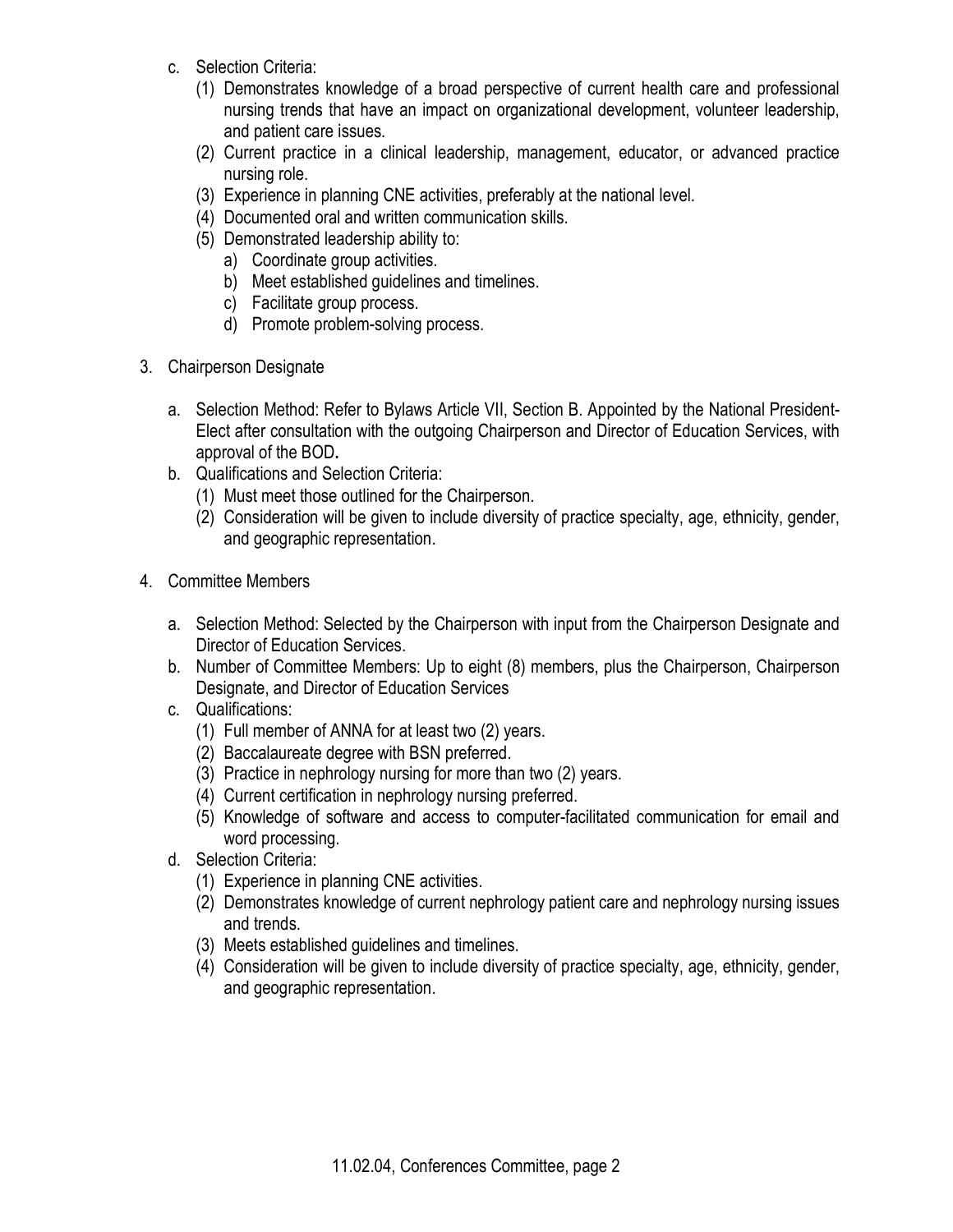- c. Selection Criteria:
	- (1) Demonstrates knowledge of a broad perspective of current health care and professional nursing trends that have an impact on organizational development, volunteer leadership, and patient care issues.
	- (2) Current practice in a clinical leadership, management, educator, or advanced practice nursing role.
	- (3) Experience in planning CNE activities, preferably at the national level.
	- (4) Documented oral and written communication skills.
	- (5) Demonstrated leadership ability to:
		- a) Coordinate group activities.
		- b) Meet established guidelines and timelines.
		- c) Facilitate group process.
		- d) Promote problem-solving process.
- 3. Chairperson Designate
	- a. Selection Method: Refer to Bylaws Article VII, Section B. Appointed by the National President-Elect after consultation with the outgoing Chairperson and Director of Education Services, with approval of the BOD.
	- b. Qualifications and Selection Criteria:
		- (1) Must meet those outlined for the Chairperson.
		- (2) Consideration will be given to include diversity of practice specialty, age, ethnicity, gender, and geographic representation.
- 4. Committee Members
	- a. Selection Method: Selected by the Chairperson with input from the Chairperson Designate and Director of Education Services.
	- b. Number of Committee Members: Up to eight (8) members, plus the Chairperson, Chairperson Designate, and Director of Education Services
	- c. Qualifications:
		- (1) Full member of ANNA for at least two (2) years.
		- (2) Baccalaureate degree with BSN preferred.
		- (3) Practice in nephrology nursing for more than two (2) years.
		- (4) Current certification in nephrology nursing preferred.
		- (5) Knowledge of software and access to computer-facilitated communication for email and word processing.
	- d. Selection Criteria:
		- (1) Experience in planning CNE activities.
		- (2) Demonstrates knowledge of current nephrology patient care and nephrology nursing issues and trends.
		- (3) Meets established guidelines and timelines.
		- (4) Consideration will be given to include diversity of practice specialty, age, ethnicity, gender, and geographic representation.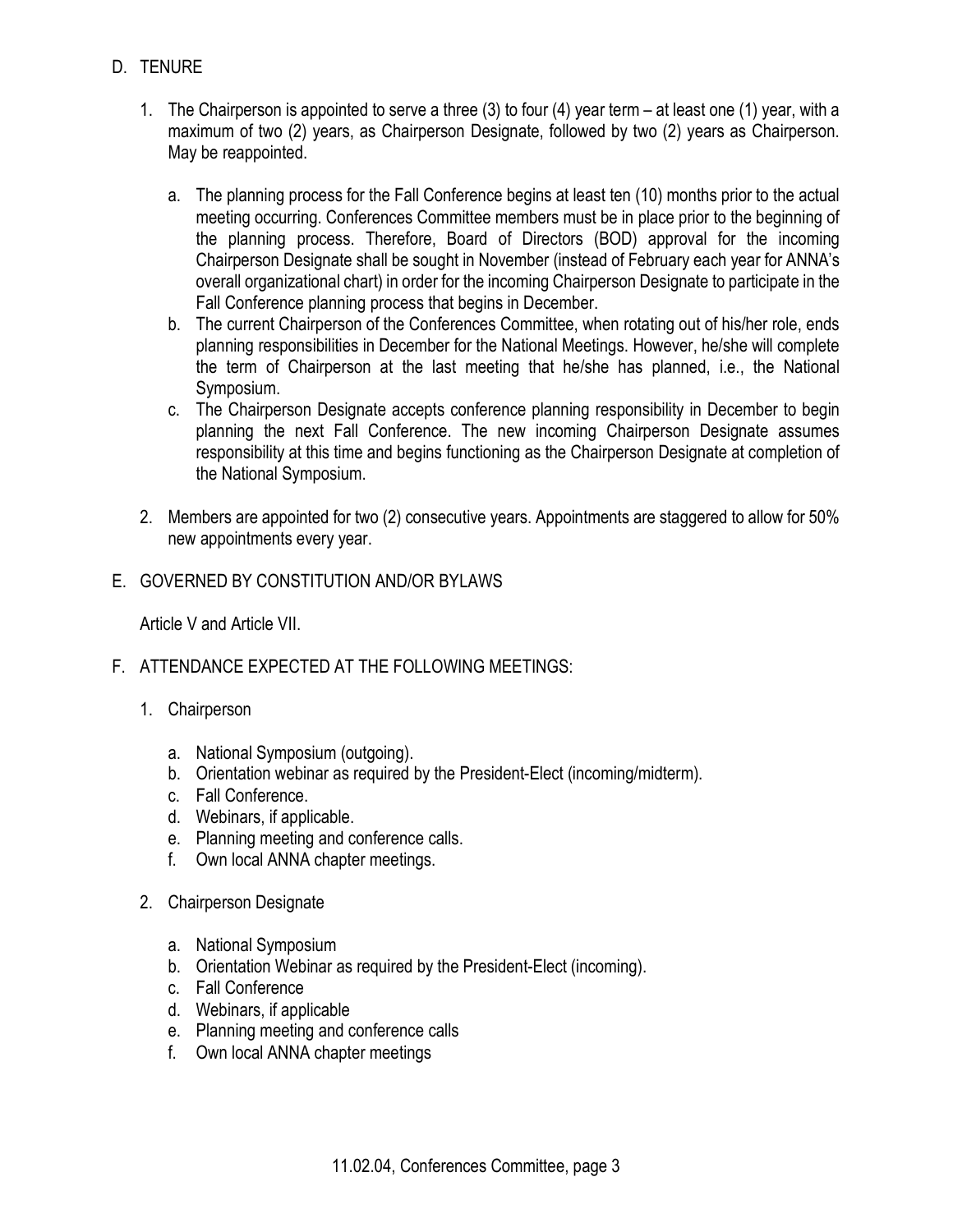- D. TENURE
	- 1. The Chairperson is appointed to serve a three (3) to four (4) year term at least one (1) year, with a maximum of two (2) years, as Chairperson Designate, followed by two (2) years as Chairperson. May be reappointed.
		- a. The planning process for the Fall Conference begins at least ten (10) months prior to the actual meeting occurring. Conferences Committee members must be in place prior to the beginning of the planning process. Therefore, Board of Directors (BOD) approval for the incoming Chairperson Designate shall be sought in November (instead of February each year for ANNA's overall organizational chart) in order for the incoming Chairperson Designate to participate in the Fall Conference planning process that begins in December.
		- b. The current Chairperson of the Conferences Committee, when rotating out of his/her role, ends planning responsibilities in December for the National Meetings. However, he/she will complete the term of Chairperson at the last meeting that he/she has planned, i.e., the National Symposium.
		- c. The Chairperson Designate accepts conference planning responsibility in December to begin planning the next Fall Conference. The new incoming Chairperson Designate assumes responsibility at this time and begins functioning as the Chairperson Designate at completion of the National Symposium.
	- 2. Members are appointed for two (2) consecutive years. Appointments are staggered to allow for 50% new appointments every year.
- E. GOVERNED BY CONSTITUTION AND/OR BYLAWS

Article V and Article VII.

- F. ATTENDANCE EXPECTED AT THE FOLLOWING MEETINGS:
	- 1. Chairperson
		- a. National Symposium (outgoing).
		- b. Orientation webinar as required by the President-Elect (incoming/midterm).
		- c. Fall Conference.
		- d. Webinars, if applicable.
		- e. Planning meeting and conference calls.
		- f. Own local ANNA chapter meetings.
	- 2. Chairperson Designate
		- a. National Symposium
		- b. Orientation Webinar as required by the President-Elect (incoming).
		- c. Fall Conference
		- d. Webinars, if applicable
		- e. Planning meeting and conference calls
		- f. Own local ANNA chapter meetings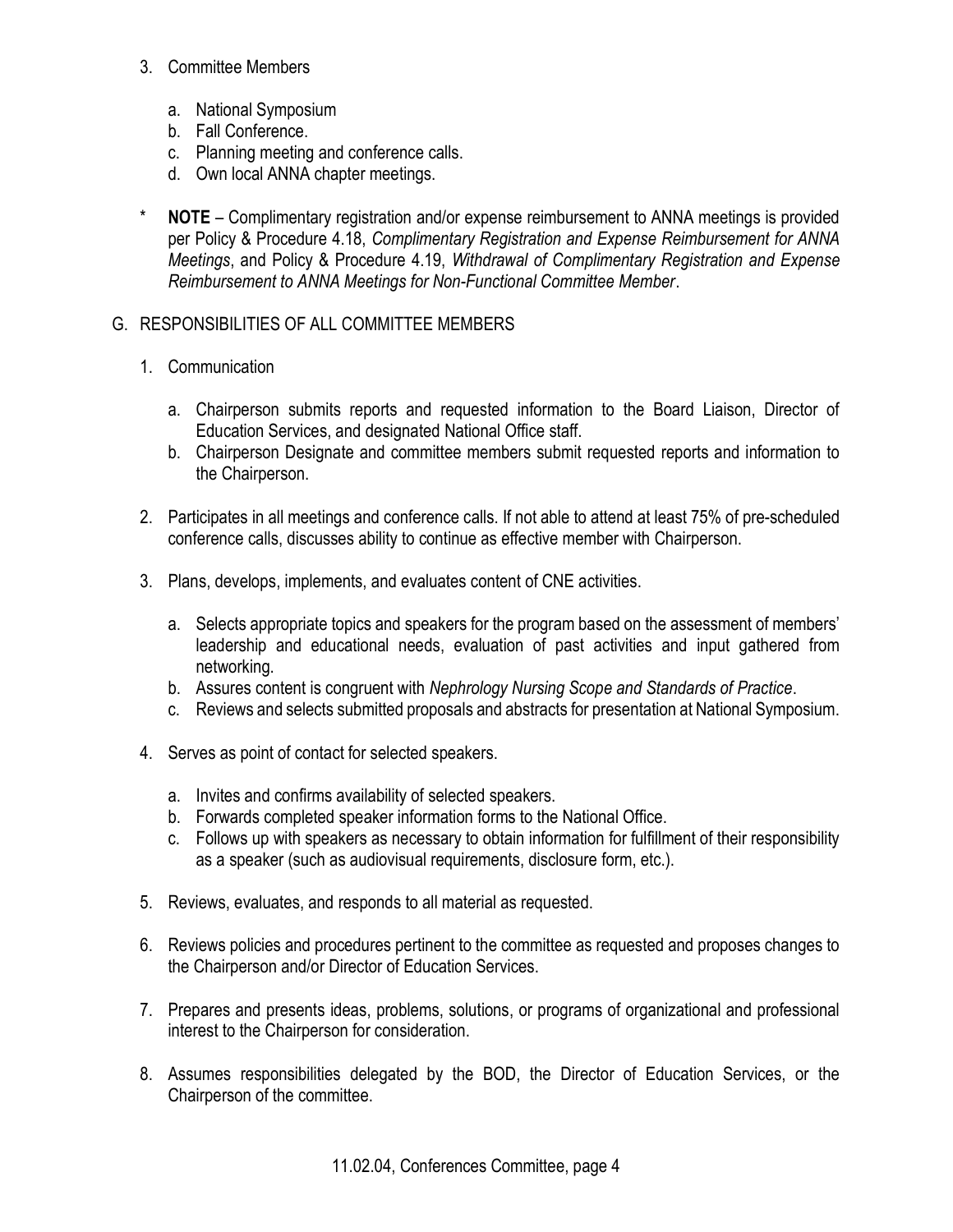- 3. Committee Members
	- a. National Symposium
	- b. Fall Conference.
	- c. Planning meeting and conference calls.
	- d. Own local ANNA chapter meetings.
- \* NOTE Complimentary registration and/or expense reimbursement to ANNA meetings is provided per Policy & Procedure 4.18, Complimentary Registration and Expense Reimbursement for ANNA Meetings, and Policy & Procedure 4.19, Withdrawal of Complimentary Registration and Expense Reimbursement to ANNA Meetings for Non-Functional Committee Member.
- G. RESPONSIBILITIES OF ALL COMMITTEE MEMBERS
	- 1. Communication
		- a. Chairperson submits reports and requested information to the Board Liaison, Director of Education Services, and designated National Office staff.
		- b. Chairperson Designate and committee members submit requested reports and information to the Chairperson.
	- 2. Participates in all meetings and conference calls. If not able to attend at least 75% of pre-scheduled conference calls, discusses ability to continue as effective member with Chairperson.
	- 3. Plans, develops, implements, and evaluates content of CNE activities.
		- a. Selects appropriate topics and speakers for the program based on the assessment of members' leadership and educational needs, evaluation of past activities and input gathered from networking.
		- b. Assures content is congruent with Nephrology Nursing Scope and Standards of Practice.
		- c. Reviews and selects submitted proposals and abstracts for presentation at National Symposium.
	- 4. Serves as point of contact for selected speakers.
		- a. Invites and confirms availability of selected speakers.
		- b. Forwards completed speaker information forms to the National Office.
		- c. Follows up with speakers as necessary to obtain information for fulfillment of their responsibility as a speaker (such as audiovisual requirements, disclosure form, etc.).
	- 5. Reviews, evaluates, and responds to all material as requested.
	- 6. Reviews policies and procedures pertinent to the committee as requested and proposes changes to the Chairperson and/or Director of Education Services.
	- 7. Prepares and presents ideas, problems, solutions, or programs of organizational and professional interest to the Chairperson for consideration.
	- 8. Assumes responsibilities delegated by the BOD, the Director of Education Services, or the Chairperson of the committee.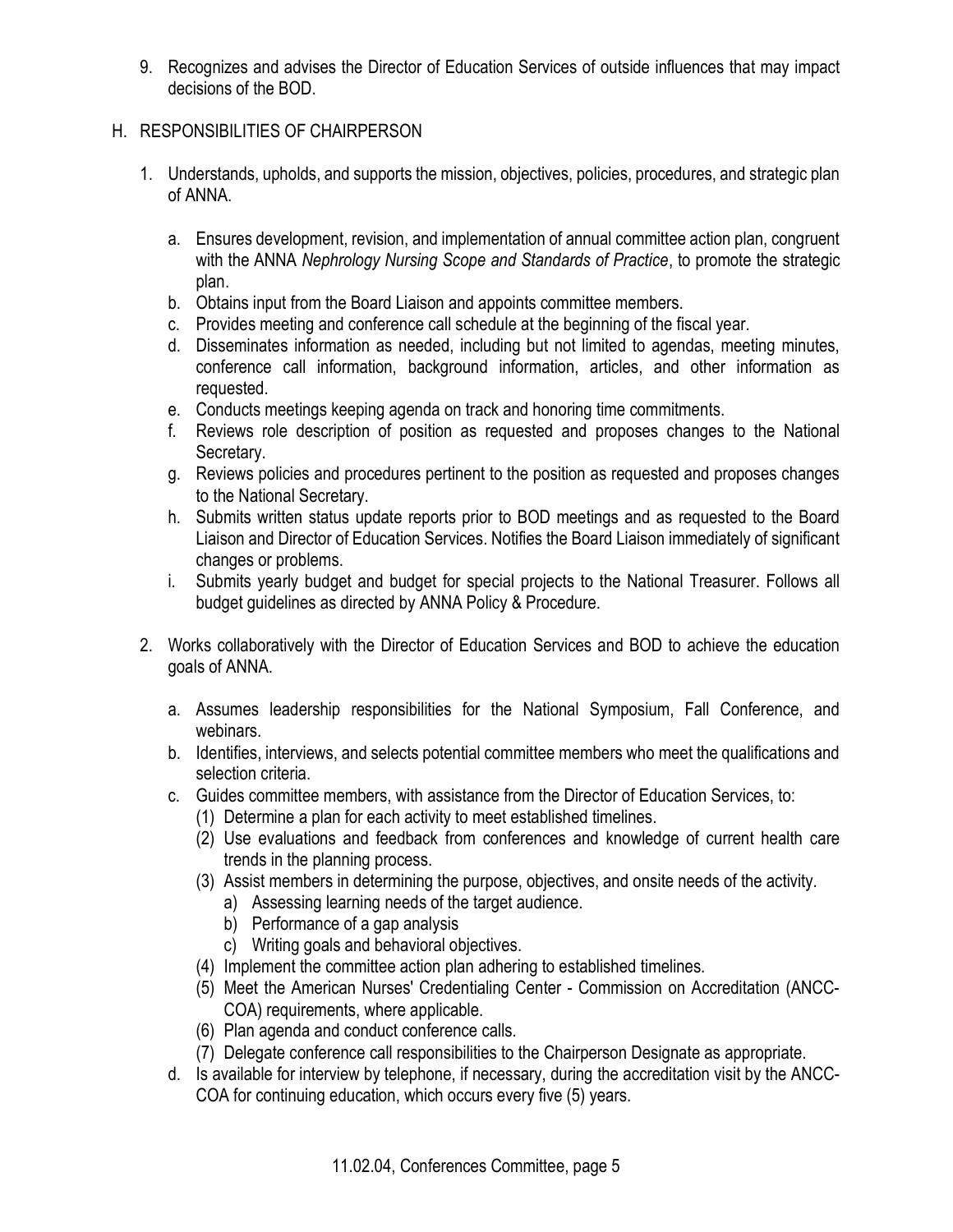9. Recognizes and advises the Director of Education Services of outside influences that may impact decisions of the BOD.

## H. RESPONSIBILITIES OF CHAIRPERSON

- 1. Understands, upholds, and supports the mission, objectives, policies, procedures, and strategic plan of ANNA.
	- a. Ensures development, revision, and implementation of annual committee action plan, congruent with the ANNA Nephrology Nursing Scope and Standards of Practice, to promote the strategic plan.
	- b. Obtains input from the Board Liaison and appoints committee members.
	- c. Provides meeting and conference call schedule at the beginning of the fiscal year.
	- d. Disseminates information as needed, including but not limited to agendas, meeting minutes, conference call information, background information, articles, and other information as requested.
	- e. Conducts meetings keeping agenda on track and honoring time commitments.
	- f. Reviews role description of position as requested and proposes changes to the National Secretary.
	- g. Reviews policies and procedures pertinent to the position as requested and proposes changes to the National Secretary.
	- h. Submits written status update reports prior to BOD meetings and as requested to the Board Liaison and Director of Education Services. Notifies the Board Liaison immediately of significant changes or problems.
	- i. Submits yearly budget and budget for special projects to the National Treasurer. Follows all budget guidelines as directed by ANNA Policy & Procedure.
- 2. Works collaboratively with the Director of Education Services and BOD to achieve the education goals of ANNA.
	- a. Assumes leadership responsibilities for the National Symposium, Fall Conference, and webinars.
	- b. Identifies, interviews, and selects potential committee members who meet the qualifications and selection criteria.
	- c. Guides committee members, with assistance from the Director of Education Services, to:
		- (1) Determine a plan for each activity to meet established timelines.
		- (2) Use evaluations and feedback from conferences and knowledge of current health care trends in the planning process.
		- (3) Assist members in determining the purpose, objectives, and onsite needs of the activity.
			- a) Assessing learning needs of the target audience.
			- b) Performance of a gap analysis
			- c) Writing goals and behavioral objectives.
		- (4) Implement the committee action plan adhering to established timelines.
		- (5) Meet the American Nurses' Credentialing Center Commission on Accreditation (ANCC-COA) requirements, where applicable.
		- (6) Plan agenda and conduct conference calls.
		- (7) Delegate conference call responsibilities to the Chairperson Designate as appropriate.
	- d. Is available for interview by telephone, if necessary, during the accreditation visit by the ANCC-COA for continuing education, which occurs every five (5) years.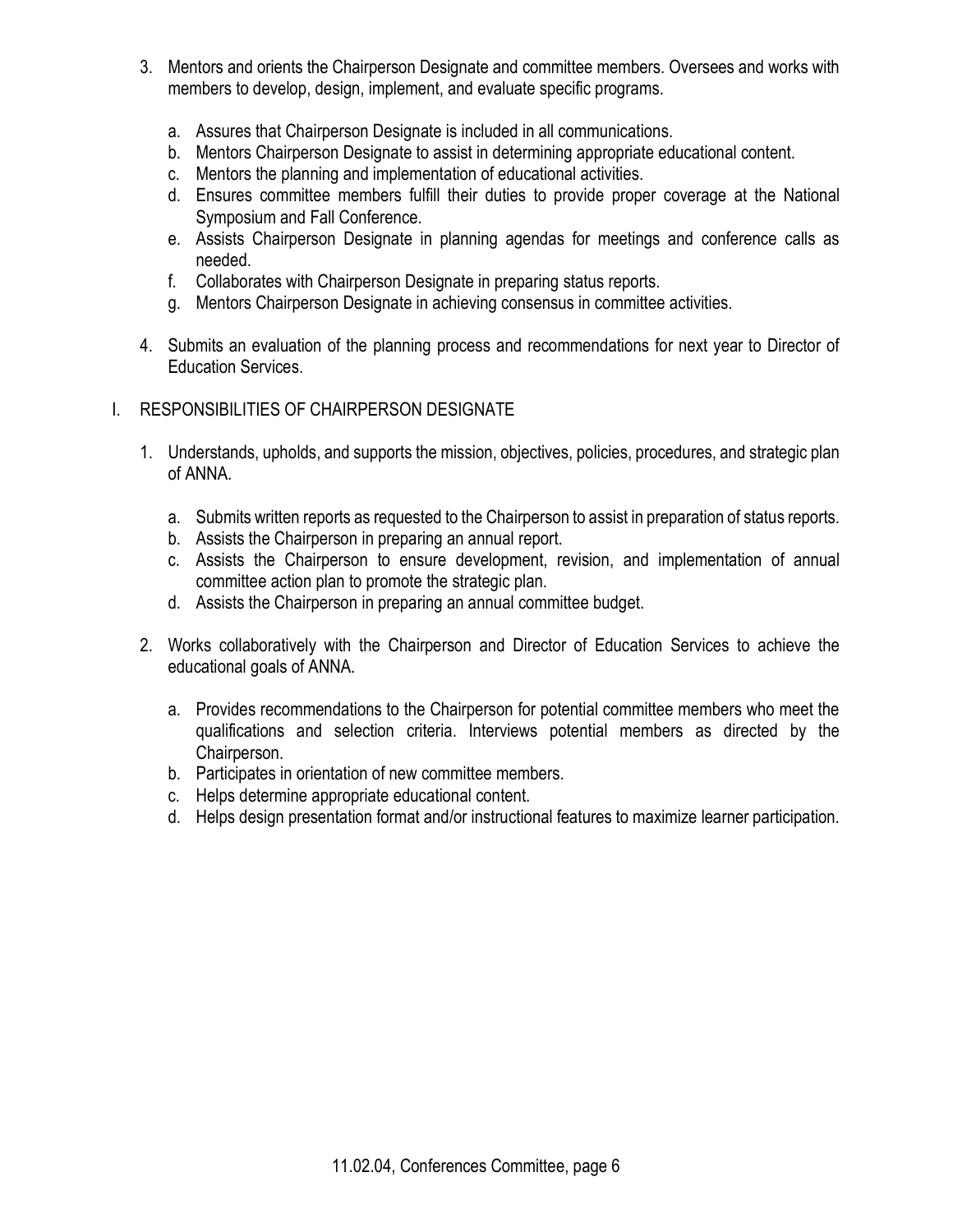- 3. Mentors and orients the Chairperson Designate and committee members. Oversees and works with members to develop, design, implement, and evaluate specific programs.
	- a. Assures that Chairperson Designate is included in all communications.
	- b. Mentors Chairperson Designate to assist in determining appropriate educational content.
	- c. Mentors the planning and implementation of educational activities.
	- d. Ensures committee members fulfill their duties to provide proper coverage at the National Symposium and Fall Conference.
	- e. Assists Chairperson Designate in planning agendas for meetings and conference calls as needed.
	- f. Collaborates with Chairperson Designate in preparing status reports.
	- g. Mentors Chairperson Designate in achieving consensus in committee activities.
- 4. Submits an evaluation of the planning process and recommendations for next year to Director of Education Services.
- I. RESPONSIBILITIES OF CHAIRPERSON DESIGNATE
	- 1. Understands, upholds, and supports the mission, objectives, policies, procedures, and strategic plan of ANNA.
		- a. Submits written reports as requested to the Chairperson to assist in preparation of status reports.
		- b. Assists the Chairperson in preparing an annual report.
		- c. Assists the Chairperson to ensure development, revision, and implementation of annual committee action plan to promote the strategic plan.
		- d. Assists the Chairperson in preparing an annual committee budget.
	- 2. Works collaboratively with the Chairperson and Director of Education Services to achieve the educational goals of ANNA.
		- a. Provides recommendations to the Chairperson for potential committee members who meet the qualifications and selection criteria. Interviews potential members as directed by the Chairperson.
		- b. Participates in orientation of new committee members.
		- c. Helps determine appropriate educational content.
		- d. Helps design presentation format and/or instructional features to maximize learner participation.